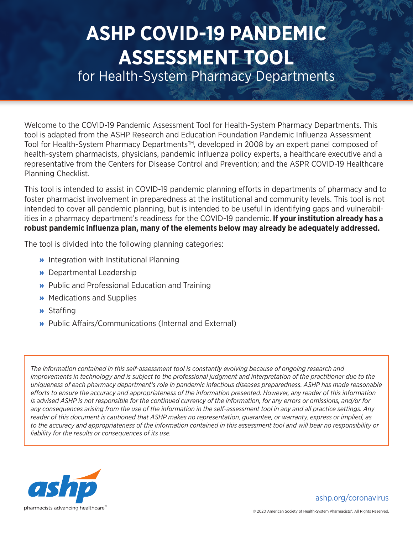## **ASHP COVID-19 PANDEMIC ASSESSMENT TOOL**

for Health-System Pharmacy Departments

Welcome to the COVID-19 Pandemic Assessment Tool for Health-System Pharmacy Departments. This tool is adapted from the ASHP Research and Education Foundation Pandemic Influenza Assessment Tool for Health-System Pharmacy Departments™, developed in 2008 by an expert panel composed of health-system pharmacists, physicians, pandemic influenza policy experts, a healthcare executive and a representative from the Centers for Disease Control and Prevention; and the ASPR COVID-19 Healthcare Planning Checklist.

This tool is intended to assist in COVID-19 pandemic planning efforts in departments of pharmacy and to foster pharmacist involvement in preparedness at the institutional and community levels. This tool is not intended to cover all pandemic planning, but is intended to be useful in identifying gaps and vulnerabilities in a pharmacy department's readiness for the COVID-19 pandemic. **If your institution already has a robust pandemic influenza plan, many of the elements below may already be adequately addressed.** 

The tool is divided into the following planning categories:

- » Integration with Institutional Planning
- » Departmental Leadership
- » Public and Professional Education and Training
- » Medications and Supplies
- » Staffing
- » Public Affairs/Communications (Internal and External)

*The information contained in this self-assessment tool is constantly evolving because of ongoing research and improvements in technology and is subject to the professional judgment and interpretation of the practitioner due to the uniqueness of each pharmacy department's role in pandemic infectious diseases preparedness. ASHP has made reasonable efforts to ensure the accuracy and appropriateness of the information presented. However, any reader of this information is advised ASHP is not responsible for the continued currency of the information, for any errors or omissions, and/or for any consequences arising from the use of the information in the self-assessment tool in any and all practice settings. Any reader of this document is cautioned that ASHP makes no representation, guarantee, or warranty, express or implied, as to the accuracy and appropriateness of the information contained in this assessment tool and will bear no responsibility or liability for the results or consequences of its use.*



[ashp.org/coronavirus](http://ashp.org/coronavirus)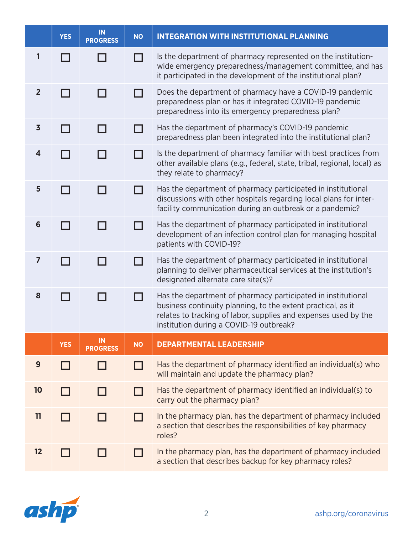|                         | <b>YES</b>    | IN<br><b>PROGRESS</b> | <b>NO</b> | <b>INTEGRATION WITH INSTITUTIONAL PLANNING</b>                                                                                                                                                                                             |
|-------------------------|---------------|-----------------------|-----------|--------------------------------------------------------------------------------------------------------------------------------------------------------------------------------------------------------------------------------------------|
| 1                       |               |                       | - 1       | Is the department of pharmacy represented on the institution-<br>wide emergency preparedness/management committee, and has<br>it participated in the development of the institutional plan?                                                |
| $\overline{2}$          | $\Box$        |                       | n l       | Does the department of pharmacy have a COVID-19 pandemic<br>preparedness plan or has it integrated COVID-19 pandemic<br>preparedness into its emergency preparedness plan?                                                                 |
| $\overline{\mathbf{3}}$ | $\Box$        |                       |           | Has the department of pharmacy's COVID-19 pandemic<br>preparedness plan been integrated into the institutional plan?                                                                                                                       |
| 4                       |               |                       |           | Is the department of pharmacy familiar with best practices from<br>other available plans (e.g., federal, state, tribal, regional, local) as<br>they relate to pharmacy?                                                                    |
| 5                       | ┑             |                       | $\Box$    | Has the department of pharmacy participated in institutional<br>discussions with other hospitals regarding local plans for inter-<br>facility communication during an outbreak or a pandemic?                                              |
| 6                       | a propinsi ka |                       |           | Has the department of pharmacy participated in institutional<br>development of an infection control plan for managing hospital<br>patients with COVID-19?                                                                                  |
| $\overline{7}$          | - 1           |                       | П         | Has the department of pharmacy participated in institutional<br>planning to deliver pharmaceutical services at the institution's<br>designated alternate care site(s)?                                                                     |
| 8                       | $\Box$        |                       | H         | Has the department of pharmacy participated in institutional<br>business continuity planning, to the extent practical, as it<br>relates to tracking of labor, supplies and expenses used by the<br>institution during a COVID-19 outbreak? |
|                         | <b>YES</b>    | IN<br><b>PROGRESS</b> | <b>NO</b> | <b>DEPARTMENTAL LEADERSHIP</b>                                                                                                                                                                                                             |
| 9                       |               |                       | П         | Has the department of pharmacy identified an individual(s) who<br>will maintain and update the pharmacy plan?                                                                                                                              |
| 10                      |               |                       | - 1       | Has the department of pharmacy identified an individual(s) to<br>carry out the pharmacy plan?                                                                                                                                              |
| 11                      |               |                       | - 1       | In the pharmacy plan, has the department of pharmacy included<br>a section that describes the responsibilities of key pharmacy<br>roles?                                                                                                   |
| 12                      |               |                       |           | In the pharmacy plan, has the department of pharmacy included<br>a section that describes backup for key pharmacy roles?                                                                                                                   |

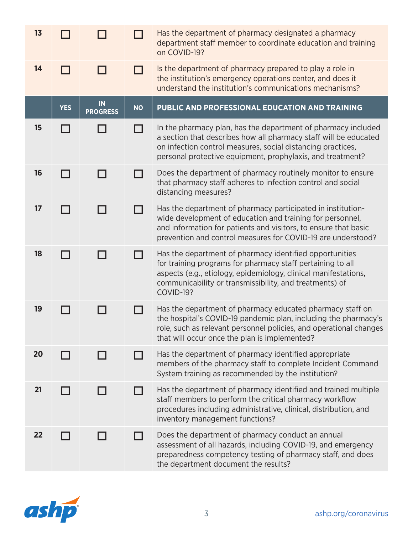| 13 |            |                       |           | Has the department of pharmacy designated a pharmacy<br>department staff member to coordinate education and training<br>on COVID-19?                                                                                                                                    |
|----|------------|-----------------------|-----------|-------------------------------------------------------------------------------------------------------------------------------------------------------------------------------------------------------------------------------------------------------------------------|
| 14 |            |                       | - 1       | Is the department of pharmacy prepared to play a role in<br>the institution's emergency operations center, and does it<br>understand the institution's communications mechanisms?                                                                                       |
|    | <b>YES</b> | IN<br><b>PROGRESS</b> | <b>NO</b> | PUBLIC AND PROFESSIONAL EDUCATION AND TRAINING                                                                                                                                                                                                                          |
| 15 | П          | - 1                   | - 1       | In the pharmacy plan, has the department of pharmacy included<br>a section that describes how all pharmacy staff will be educated<br>on infection control measures, social distancing practices,<br>personal protective equipment, prophylaxis, and treatment?          |
| 16 | П          |                       | ┓         | Does the department of pharmacy routinely monitor to ensure<br>that pharmacy staff adheres to infection control and social<br>distancing measures?                                                                                                                      |
| 17 | П          | H                     | H         | Has the department of pharmacy participated in institution-<br>wide development of education and training for personnel,<br>and information for patients and visitors, to ensure that basic<br>prevention and control measures for COVID-19 are understood?             |
| 18 | П          | - 1                   | П         | Has the department of pharmacy identified opportunities<br>for training programs for pharmacy staff pertaining to all<br>aspects (e.g., etiology, epidemiology, clinical manifestations,<br>communicability or transmissibility, and treatments) of<br><b>COVID-19?</b> |
| 19 |            |                       | - 1       | Has the department of pharmacy educated pharmacy staff on<br>the hospital's COVID-19 pandemic plan, including the pharmacy's<br>role, such as relevant personnel policies, and operational changes<br>that will occur once the plan is implemented?                     |
| 20 |            |                       |           | Has the department of pharmacy identified appropriate<br>members of the pharmacy staff to complete Incident Command<br>System training as recommended by the institution?                                                                                               |
| 21 | П          | - 1                   | - 1       | Has the department of pharmacy identified and trained multiple<br>staff members to perform the critical pharmacy workflow<br>procedures including administrative, clinical, distribution, and<br>inventory management functions?                                        |
| 22 |            |                       |           | Does the department of pharmacy conduct an annual<br>assessment of all hazards, including COVID-19, and emergency<br>preparedness competency testing of pharmacy staff, and does<br>the department document the results?                                                |

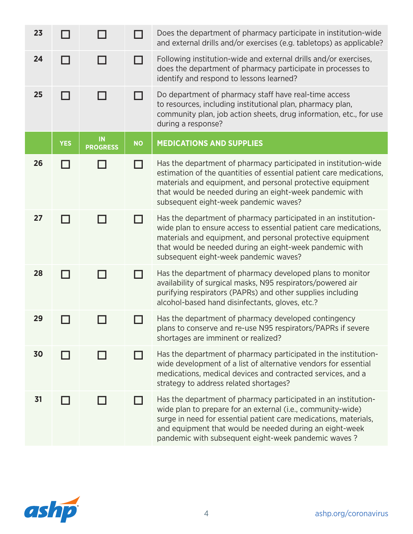| 23 |            |                                   |           | Does the department of pharmacy participate in institution-wide<br>and external drills and/or exercises (e.g. tabletops) as applicable?                                                                                                                                                                             |
|----|------------|-----------------------------------|-----------|---------------------------------------------------------------------------------------------------------------------------------------------------------------------------------------------------------------------------------------------------------------------------------------------------------------------|
| 24 |            |                                   | - 1       | Following institution-wide and external drills and/or exercises,<br>does the department of pharmacy participate in processes to<br>identify and respond to lessons learned?                                                                                                                                         |
| 25 | ┓          | - 1                               |           | Do department of pharmacy staff have real-time access<br>to resources, including institutional plan, pharmacy plan,<br>community plan, job action sheets, drug information, etc., for use<br>during a response?                                                                                                     |
|    | <b>YES</b> | $\blacksquare$<br><b>PROGRESS</b> | <b>NO</b> | <b>MEDICATIONS AND SUPPLIES</b>                                                                                                                                                                                                                                                                                     |
| 26 |            |                                   |           | Has the department of pharmacy participated in institution-wide<br>estimation of the quantities of essential patient care medications,<br>materials and equipment, and personal protective equipment<br>that would be needed during an eight-week pandemic with<br>subsequent eight-week pandemic waves?            |
| 27 |            |                                   | H         | Has the department of pharmacy participated in an institution-<br>wide plan to ensure access to essential patient care medications,<br>materials and equipment, and personal protective equipment<br>that would be needed during an eight-week pandemic with<br>subsequent eight-week pandemic waves?               |
| 28 |            |                                   |           | Has the department of pharmacy developed plans to monitor<br>availability of surgical masks, N95 respirators/powered air<br>purifying respirators (PAPRs) and other supplies including<br>alcohol-based hand disinfectants, gloves, etc.?                                                                           |
| 29 |            |                                   |           | Has the department of pharmacy developed contingency<br>plans to conserve and re-use N95 respirators/PAPRs if severe<br>shortages are imminent or realized?                                                                                                                                                         |
| 30 |            |                                   |           | Has the department of pharmacy participated in the institution-<br>wide development of a list of alternative vendors for essential<br>medications, medical devices and contracted services, and a<br>strategy to address related shortages?                                                                         |
| 31 |            |                                   |           | Has the department of pharmacy participated in an institution-<br>wide plan to prepare for an external (i.e., community-wide)<br>surge in need for essential patient care medications, materials,<br>and equipment that would be needed during an eight-week<br>pandemic with subsequent eight-week pandemic waves? |

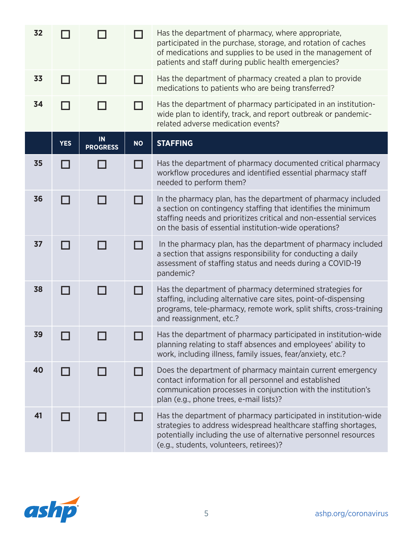| 32 |            |                       |           | Has the department of pharmacy, where appropriate,<br>participated in the purchase, storage, and rotation of caches<br>of medications and supplies to be used in the management of<br>patients and staff during public health emergencies?                     |
|----|------------|-----------------------|-----------|----------------------------------------------------------------------------------------------------------------------------------------------------------------------------------------------------------------------------------------------------------------|
| 33 |            |                       |           | Has the department of pharmacy created a plan to provide<br>medications to patients who are being transferred?                                                                                                                                                 |
| 34 |            |                       |           | Has the department of pharmacy participated in an institution-<br>wide plan to identify, track, and report outbreak or pandemic-<br>related adverse medication events?                                                                                         |
|    | <b>YES</b> | IN<br><b>PROGRESS</b> | <b>NO</b> | <b>STAFFING</b>                                                                                                                                                                                                                                                |
| 35 |            |                       |           | Has the department of pharmacy documented critical pharmacy<br>workflow procedures and identified essential pharmacy staff<br>needed to perform them?                                                                                                          |
| 36 | П          | $\blacksquare$        |           | In the pharmacy plan, has the department of pharmacy included<br>a section on contingency staffing that identifies the minimum<br>staffing needs and prioritizes critical and non-essential services<br>on the basis of essential institution-wide operations? |
| 37 | П          | $\blacksquare$        |           | In the pharmacy plan, has the department of pharmacy included<br>a section that assigns responsibility for conducting a daily<br>assessment of staffing status and needs during a COVID-19<br>pandemic?                                                        |
| 38 |            |                       |           | Has the department of pharmacy determined strategies for                                                                                                                                                                                                       |

programs, tele-pharmacy, remote work, split shifts, cross-training and reassignment, etc.?

**<sup>39</sup>** Has the department of pharmacy participated in institution-wide planning relating to staff absences and employees' ability to work, including illness, family issues, fear/anxiety, etc.?

**40**  $\Box$   $\Box$  Does the department of pharmacy maintain current emergency contact information for all personnel and established communication processes in conjunction with the institution's plan (e.g., phone trees, e-mail lists)?

**41**  $\Box$   $\Box$  Has the department of pharmacy participated in institution-wide strategies to address widespread healthcare staffing shortages, potentially including the use of alternative personnel resources (e.g., students, volunteers, retirees)?

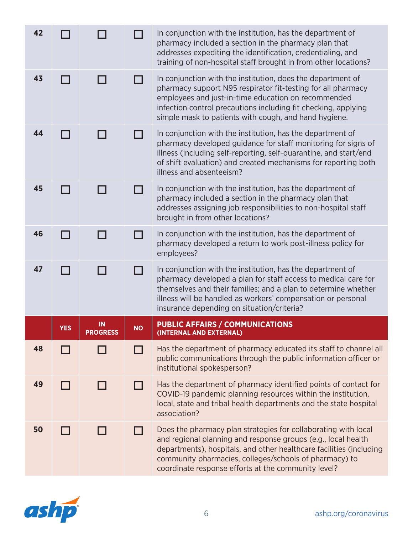| 42 |            |                       | П         | In conjunction with the institution, has the department of<br>pharmacy included a section in the pharmacy plan that<br>addresses expediting the identification, credentialing, and<br>training of non-hospital staff brought in from other locations?                                                                   |
|----|------------|-----------------------|-----------|-------------------------------------------------------------------------------------------------------------------------------------------------------------------------------------------------------------------------------------------------------------------------------------------------------------------------|
| 43 | П          | П                     | П         | In conjunction with the institution, does the department of<br>pharmacy support N95 respirator fit-testing for all pharmacy<br>employees and just-in-time education on recommended<br>infection control precautions including fit checking, applying<br>simple mask to patients with cough, and hand hygiene.           |
| 44 |            |                       | ┑         | In conjunction with the institution, has the department of<br>pharmacy developed guidance for staff monitoring for signs of<br>illness (including self-reporting, self-quarantine, and start/end<br>of shift evaluation) and created mechanisms for reporting both<br>illness and absenteeism?                          |
| 45 |            |                       | П         | In conjunction with the institution, has the department of<br>pharmacy included a section in the pharmacy plan that<br>addresses assigning job responsibilities to non-hospital staff<br>brought in from other locations?                                                                                               |
| 46 | ┓          |                       | ┓         | In conjunction with the institution, has the department of<br>pharmacy developed a return to work post-illness policy for<br>employees?                                                                                                                                                                                 |
| 47 | - 1        |                       | П         | In conjunction with the institution, has the department of<br>pharmacy developed a plan for staff access to medical care for<br>themselves and their families; and a plan to determine whether<br>illness will be handled as workers' compensation or personal<br>insurance depending on situation/criteria?            |
|    | <b>YES</b> | IN<br><b>PROGRESS</b> | <b>NO</b> | <b>PUBLIC AFFAIRS / COMMUNICATIONS</b><br>(INTERNAL AND EXTERNAL)                                                                                                                                                                                                                                                       |
| 48 |            |                       |           | Has the department of pharmacy educated its staff to channel all<br>public communications through the public information officer or<br>institutional spokesperson?                                                                                                                                                      |
| 49 |            |                       | - 1       | Has the department of pharmacy identified points of contact for<br>COVID-19 pandemic planning resources within the institution,<br>local, state and tribal health departments and the state hospital<br>association?                                                                                                    |
| 50 |            |                       | H         | Does the pharmacy plan strategies for collaborating with local<br>and regional planning and response groups (e.g., local health<br>departments), hospitals, and other healthcare facilities (including<br>community pharmacies, colleges/schools of pharmacy) to<br>coordinate response efforts at the community level? |

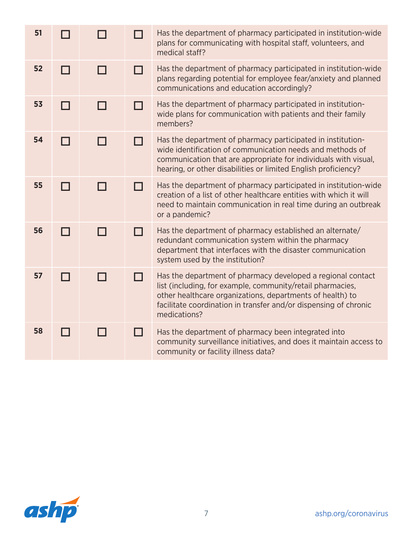| 51 |   |        |   | Has the department of pharmacy participated in institution-wide<br>plans for communicating with hospital staff, volunteers, and<br>medical staff?                                                                                                                          |
|----|---|--------|---|----------------------------------------------------------------------------------------------------------------------------------------------------------------------------------------------------------------------------------------------------------------------------|
| 52 | ┓ |        | П | Has the department of pharmacy participated in institution-wide<br>plans regarding potential for employee fear/anxiety and planned<br>communications and education accordingly?                                                                                            |
| 53 | П |        |   | Has the department of pharmacy participated in institution-<br>wide plans for communication with patients and their family<br>members?                                                                                                                                     |
| 54 | П | $\Box$ | П | Has the department of pharmacy participated in institution-<br>wide identification of communication needs and methods of<br>communication that are appropriate for individuals with visual,<br>hearing, or other disabilities or limited English proficiency?              |
| 55 | П |        |   | Has the department of pharmacy participated in institution-wide<br>creation of a list of other healthcare entities with which it will<br>need to maintain communication in real time during an outbreak<br>or a pandemic?                                                  |
| 56 | ┓ |        |   | Has the department of pharmacy established an alternate/<br>redundant communication system within the pharmacy<br>department that interfaces with the disaster communication<br>system used by the institution?                                                            |
| 57 |   |        |   | Has the department of pharmacy developed a regional contact<br>list (including, for example, community/retail pharmacies,<br>other healthcare organizations, departments of health) to<br>facilitate coordination in transfer and/or dispensing of chronic<br>medications? |
| 58 |   |        |   | Has the department of pharmacy been integrated into<br>community surveillance initiatives, and does it maintain access to<br>community or facility illness data?                                                                                                           |